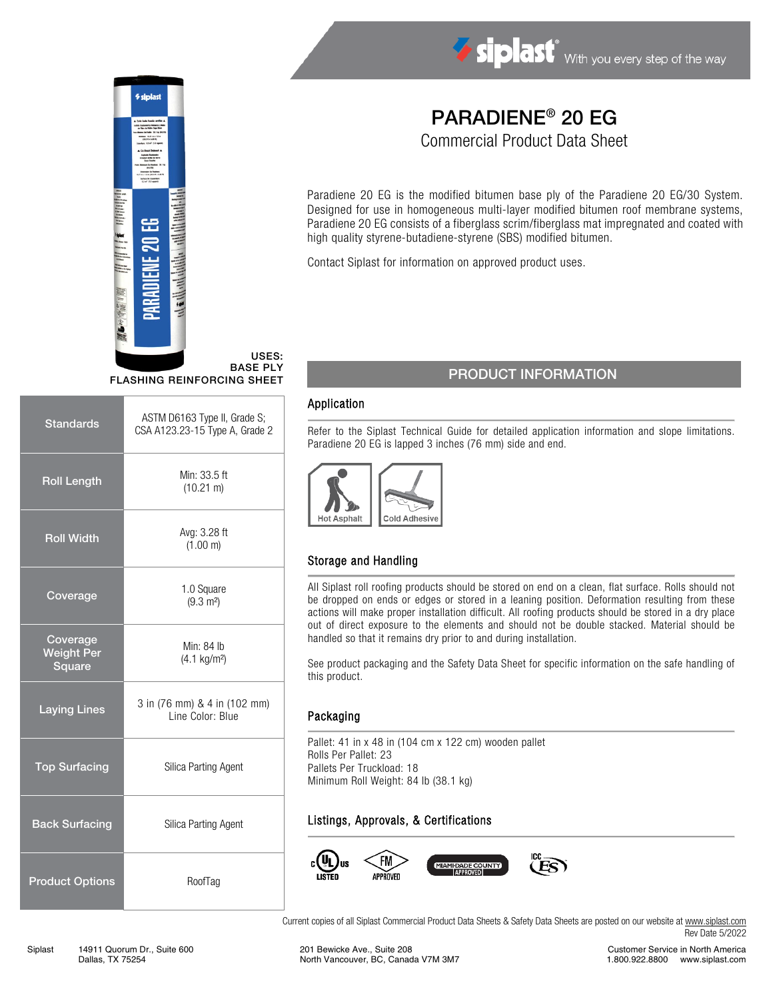

# *<u>Siplas</u>*

USES: BASE PLY FLASHING REINFORCING SHEET

| <b>Standards</b>                        | ASTM D6163 Type II, Grade S;<br>CSA A123.23-15 Type A, Grade 2 |  |
|-----------------------------------------|----------------------------------------------------------------|--|
| <b>Roll Length</b>                      | Min: 33.5 ft<br>$(10.21 \text{ m})$                            |  |
| <b>Roll Width</b>                       | Avg: 3.28 ft<br>(1.00 m)                                       |  |
| Coverage                                | 1.0 Square<br>$(9.3 \text{ m}^2)$                              |  |
| Coverage<br><b>Weight Per</b><br>Square | Min: 84 lb<br>$(4.1 \text{ kg/m}^2)$                           |  |
| <b>Laying Lines</b>                     | 3 in (76 mm) & 4 in (102 mm)<br>Line Color: Blue               |  |
| <b>Top Surfacing</b>                    | Silica Parting Agent                                           |  |
| <b>Back Surfacing</b>                   | Silica Parting Agent                                           |  |
| <b>Product Options</b>                  | RoofTag                                                        |  |

# PARADIENE® 20 EG

Commercial Product Data Sheet

Paradiene 20 EG is the modified bitumen base ply of the Paradiene 20 EG/30 System. Designed for use in homogeneous multi-layer modified bitumen roof membrane systems, Paradiene 20 EG consists of a fiberglass scrim/fiberglass mat impregnated and coated with high quality styrene-butadiene-styrene (SBS) modified bitumen.

Contact Siplast for information on approved product uses.

# PRODUCT INFORMATION

#### Application

Refer to the Siplast Technical Guide for detailed application information and slope limitations. Paradiene 20 EG is lapped 3 inches (76 mm) side and end.



# Storage and Handling

All Siplast roll roofing products should be stored on end on a clean, flat surface. Rolls should not be dropped on ends or edges or stored in a leaning position. Deformation resulting from these actions will make proper installation difficult. All roofing products should be stored in a dry place out of direct exposure to the elements and should not be double stacked. Material should be handled so that it remains dry prior to and during installation.

See product packaging and the Safety Data Sheet for specific information on the safe handling of this product.

#### Packaging

Pallet: 41 in x 48 in (104 cm x 122 cm) wooden pallet Rolls Per Pallet: 23 Pallets Per Truckload: 18 Minimum Roll Weight: 84 lb (38.1 kg)

### Listings, Approvals, & Certifications



Current copies of all Siplast Commercial Product Data Sheets & Safety Data Sheets are posted on our website a[t www.siplast.com](http://www.siplast.com/) Rev Date 5/2022